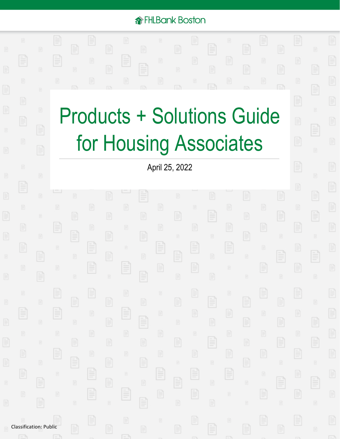### *<u>A*FHLBank Boston</u>

F

E

È

 $\begin{tabular}{|c|c|} \hline \quad \quad & \quad \quad & \quad \quad \\ \hline \quad \quad & \quad \quad & \quad \quad \\ \hline \quad \quad & \quad \quad & \quad \quad \\ \hline \quad \quad & \quad \quad & \quad \quad \\ \hline \end{tabular}$ 

E

E

E

E

È

È

E

E

E

E

# Products + Solutions Guide for Housing Associates

April 25, 2022

È

E

E

E

E

 $\Box$ 

Classification: Public

Ē

E

F

E

È

E

E

E

E

F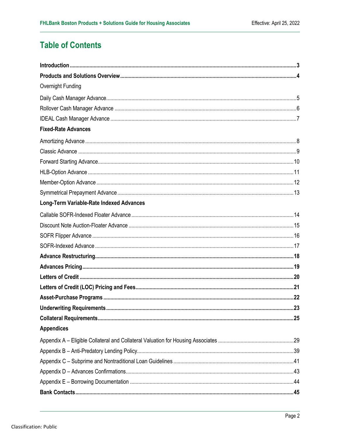### **Table of Contents**

| Overnight Funding                        |     |
|------------------------------------------|-----|
|                                          |     |
|                                          |     |
|                                          |     |
| <b>Fixed-Rate Advances</b>               |     |
|                                          |     |
|                                          |     |
|                                          |     |
|                                          |     |
|                                          |     |
|                                          |     |
| Long-Term Variable-Rate Indexed Advances |     |
|                                          |     |
|                                          |     |
|                                          |     |
|                                          |     |
|                                          |     |
|                                          |     |
|                                          |     |
|                                          |     |
|                                          |     |
|                                          | .23 |
|                                          |     |
| <b>Appendices</b>                        |     |
|                                          |     |
|                                          |     |
|                                          |     |
|                                          |     |
|                                          |     |
|                                          |     |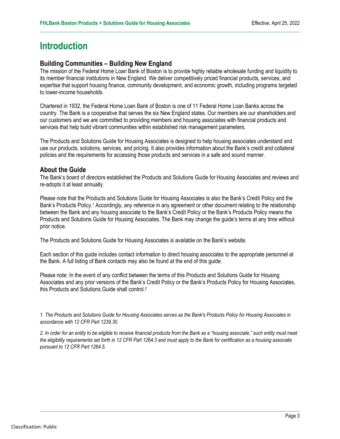### <span id="page-2-0"></span>**Introduction**

#### **Building Communities – Building New England**

The mission of the Federal Home Loan Bank of Boston is to provide highly reliable wholesale funding and liquidity to its member financial institutions in New England. We deliver competitively priced financial products, services, and expertise that support housing finance, community development, and economic growth, including programs targeted to lower-income households.

Chartered in 1932, the Federal Home Loan Bank of Boston is one of 11 Federal Home Loan Banks across the country. The Bank is a cooperative that serves the six New England states. Our members are our shareholders and our customers and we are committed to providing members and housing associates with financial products and services that help build vibrant communities within established risk management parameters.

The Products and Solutions Guide for Housing Associates is designed to help housing associates understand and use our products, solutions, services, and pricing. It also provides information about the Bank's credit and collateral policies and the requirements for accessing those products and services in a safe and sound manner.

#### **About the Guide**

The Bank's board of directors established the Products and Solutions Guide for Housing Associates and reviews and re-adopts it at least annually.

Please note that the Products and Solutions Guide for Housing Associates is also the Bank's Credit Policy and the Bank's Products Policy.<sup>1</sup> Accordingly, any reference in any agreement or other document relating to the relationship between the Bank and any housing associate to the Bank's Credit Policy or the Bank's Products Policy means the Products and Solutions Guide for Housing Associates. The Bank may change the guide's terms at any time without prior notice.

The Products and Solutions Guide for Housing Associates is available on the Bank's website.

Each section of this guide includes contact information to direct housing associates to the appropriate personnel at the Bank. A full listing of Bank contacts may also be found at the end of this guide.

Please note: In the event of any conflict between the terms of this Products and Solutions Guide for Housing Associates and any prior versions of the Bank's Credit Policy or the Bank's Products Policy for Housing Associates, this Products and Solutions Guide shall control.2

*1. The Products and Solutions Guide for Housing Associates serves as the Bank's Products Policy for Housing Associates in accordance with 12 CFR Part 1239.30.*

*2. In order for an entity to be eligible to receive financial products from the Bank as a "housing associate," such entity must meet the eligibility requirements set forth in 12 CFR Part 1264.3 and must apply to the Bank for certification as a housing associate pursuant to 12 CFR Part 1264.5.*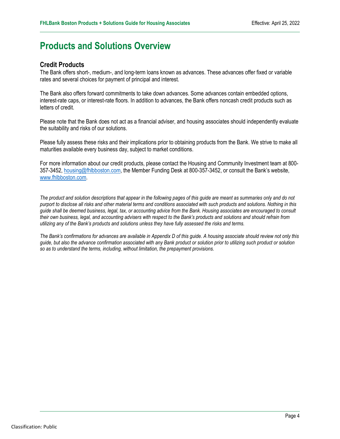### <span id="page-3-0"></span>**Products and Solutions Overview**

#### **Credit Products**

The Bank offers short-, medium-, and long-term loans known as advances. These advances offer fixed or variable rates and several choices for payment of principal and interest.

The Bank also offers forward commitments to take down advances. Some advances contain embedded options, interest-rate caps, or interest-rate floors. In addition to advances, the Bank offers noncash credit products such as letters of credit.

Please note that the Bank does not act as a financial adviser, and housing associates should independently evaluate the suitability and risks of our solutions.

Please fully assess these risks and their implications prior to obtaining products from the Bank. We strive to make all maturities available every business day, subject to market conditions.

For more information about our credit products, please contact the Housing and Community Investment team at 800- 357-3452, [housing@fhlbboston.com,](mailto:housing@fhlbboston.com) the Member Funding Desk at 800-357-3452, or consult the Bank's website, [www.fhlbboston.com.](http://www.fhlbboston.com)

*The product and solution descriptions that appear in the following pages of this guide are meant as summaries only and do not purport to disclose all risks and other material terms and conditions associated with such products and solutions. Nothing in this guide shall be deemed business, legal, tax, or accounting advice from the Bank. Housing associates are encouraged to consult their own business, legal, and accounting advisers with respect to the Bank's products and solutions and should refrain from utilizing any of the Bank's products and solutions unless they have fully assessed the risks and terms.*

*The Bank's confirmations for advances are available in Appendix D of this guide. A housing associate should review not only this guide, but also the advance confirmation associated with any Bank product or solution prior to utilizing such product or solution so as to understand the terms, including, without limitation, the prepayment provisions.*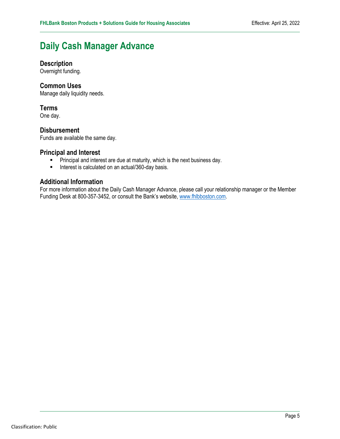### <span id="page-4-0"></span>**Daily Cash Manager Advance**

#### **Description**

Overnight funding.

#### **Common Uses**

Manage daily liquidity needs.

#### **Terms**

One day.

#### **Disbursement**

Funds are available the same day.

## **Principal and Interest**<br>**Principal and interest**<br>**Interest is calculate**

- Principal and interest are due at maturity, which is the next business day.
- Interest is calculated on an actual/360-day basis.

#### **Additional Information**

For more information about the Daily Cash Manager Advance, please call your relationship manager or the Member Funding Desk at 800-357-3452, or consult the Bank's website, [www.fhlbboston.com.](http://www.fhlbboston.com)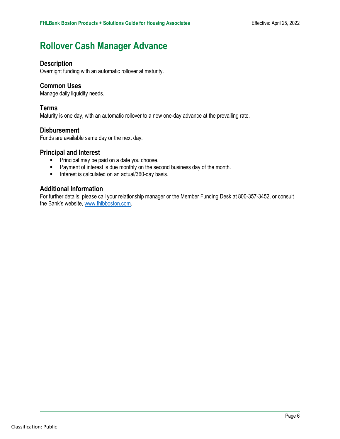### <span id="page-5-0"></span>**Rollover Cash Manager Advance**

#### **Description**

Overnight funding with an automatic rollover at maturity.

#### **Common Uses**

Manage daily liquidity needs.

#### **Terms**

Maturity is one day, with an automatic rollover to a new one-day advance at the prevailing rate.

#### **Disbursement**

Funds are available same day or the next day.

#### **Principal and Interest**

- **Principal may be paid on a date you choose.**
- **Payment of interest is due monthly on the second business day of the month.**
- Interest is calculated on an actual/360-day basis.

#### **Additional Information**

For further details, please call your relationship manager or the Member Funding Desk at 800-357-3452, or consult the Bank's website, [www.fhlbboston.com.](http://www.fhlbboston.com)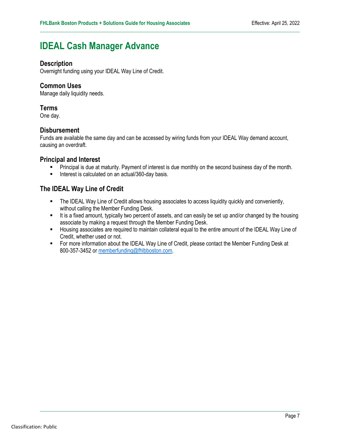### <span id="page-6-0"></span>**IDEAL Cash Manager Advance**

#### **Description**

Overnight funding using your IDEAL Way Line of Credit.

#### **Common Uses**

Manage daily liquidity needs.

#### **Terms**

One day.

#### **Disbursement**

Funds are available the same day and can be accessed by wiring funds from your IDEAL Way demand account, causing an overdraft.

#### **Principal and Interest**

- **Principal is due at maturity. Payment of interest is due monthly on the second business day of the month.**
- Interest is calculated on an actual/360-day basis.

#### **The IDEAL Way Line of Credit**

- The IDEAL Way Line of Credit allows housing associates to access liquidity quickly and conveniently, without calling the Member Funding Desk.
- It is a fixed amount, typically two percent of assets, and can easily be set up and/or changed by the housing associate by making a request through the Member Funding Desk.
- Housing associates are required to maintain collateral equal to the entire amount of the IDEAL Way Line of Credit, whether used or not.
- **F** For more information about the IDEAL Way Line of Credit, please contact the Member Funding Desk at 800-357-3452 or [memberfunding@fhlbboston.com.](mailto:memberfunding@fhlbboston.com)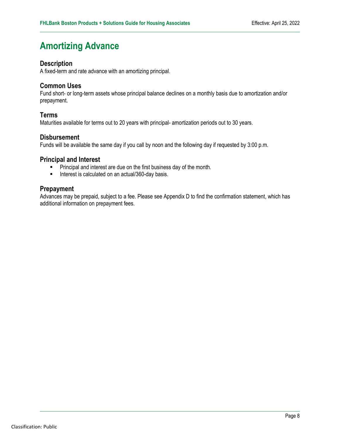### <span id="page-7-0"></span>**Amortizing Advance**

#### **Description**

A fixed-term and rate advance with an amortizing principal.

#### **Common Uses**

Fund short- or long-term assets whose principal balance declines on a monthly basis due to amortization and/or prepayment.

#### **Terms**

Maturities available for terms out to 20 years with principal- amortization periods out to 30 years.

#### **Disbursement**

Funds will be available the same day if you call by noon and the following day if requested by 3:00 p.m.

#### **Principal and Interest**

- Principal and interest are due on the first business day of the month.<br>■ Interest is calculated on an actual/360-day basis.
- Interest is calculated on an actual/360-day basis.

#### **Prepayment**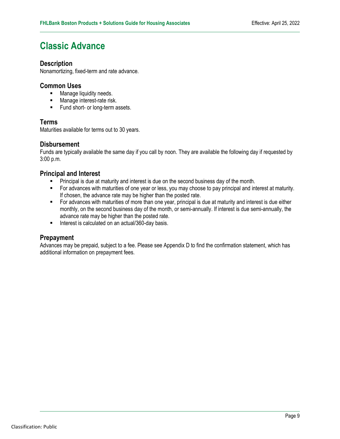### <span id="page-8-0"></span>**Classic Advance**

#### **Description**

Nonamortizing, fixed-term and rate advance.

#### **Common Uses**

- **Manage liquidity needs.**
- **Manage interest-rate risk.**
- **Fund short- or long-term assets.**

#### **Terms**

Maturities available for terms out to 30 years.

#### **Disbursement**

Funds are typically available the same day if you call by noon. They are available the following day if requested by 3:00 p.m.

#### **Principal and Interest**

- **Principal is due at maturity and interest is due on the second business day of the month.**
- For advances with maturities of one year or less, you may choose to pay principal and interest at maturity. If chosen, the advance rate may be higher than the posted rate.
- For advances with maturities of more than one year, principal is due at maturity and interest is due either monthly, on the second business day of the month, or semi-annually. If interest is due semi-annually, the advance rate may be higher than the posted rate.
- Interest is calculated on an actual/360-day basis.

#### **Prepayment**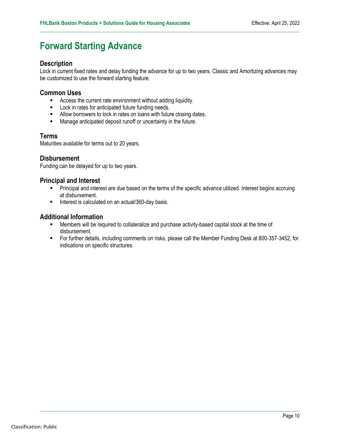### <span id="page-9-0"></span>**Forward Starting Advance**

#### **Description**

Lock in current fixed rates and delay funding the advance for up to two years. Classic and Amortizing advances may be customized to use the forward starting feature.

#### **Common Uses**

- **EXEC** Access the current rate environment without adding liquidity.
- **Lock in rates for anticipated future funding needs.**
- **Allow borrowers to lock in rates on loans with future closing dates.**
- **Manage anticipated deposit runoff or uncertainty in the future.**

#### **Terms**

Maturities available for terms out to 20 years.

#### **Disbursement**

Funding can be delayed for up to two years.

#### **Principal and Interest**

- **Principal and interest are due based on the terms of the specific advance utilized. Interest begins accruing** at disbursement.
- Interest is calculated on an actual/360-day basis.

#### **Additional Information**

- Members will be required to collateralize and purchase activity-based capital stock at the time of disbursement.
- For further details, including comments on risks, please call the Member Funding Desk at 800-357-3452, for indications on specific structures.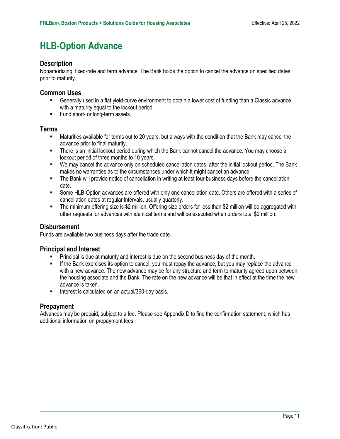### <span id="page-10-0"></span>**HLB-Option Advance**

#### **Description**

Nonamortizing, fixed-rate and term advance. The Bank holds the option to cancel the advance on specified dates prior to maturity.

#### **Common Uses**

- Generally used in a flat yield-curve environment to obtain a lower cost of funding than a Classic advance with a maturity equal to the lockout period.
- **Fund short- or long-term assets.**

#### **Terms**

- Maturities available for terms out to 20 years, but always with the condition that the Bank may cancel the advance prior to final maturity.
- There is an initial lockout period during which the Bank cannot cancel the advance. You may choose a lockout period of three months to 10 years.
- We may cancel the advance only on scheduled cancellation dates, after the initial lockout period. The Bank makes no warranties as to the circumstances under which it might cancel an advance.
- The Bank will provide notice of cancellation in writing at least four business days before the cancellation date.
- Some HLB-Option advances are offered with only one cancellation date. Others are offered with a series of cancellation dates at regular intervals, usually quarterly.
- The minimum offering size is \$2 million. Offering size orders for less than \$2 million will be aggregated with other requests for advances with identical terms and will be executed when orders total \$2 million.

#### **Disbursement**

Funds are available two business days after the trade date.

#### **Principal and Interest**

- Principal is due at maturity and interest is due on the second business day of the month.
- If the Bank exercises its option to cancel, you must repay the advance, but you may replace the advance with a new advance. The new advance may be for any structure and term to maturity agreed upon between the housing associate and the Bank. The rate on the new advance will be that in effect at the time the new advance is taken.
- Interest is calculated on an actual/360-day basis.

#### **Prepayment**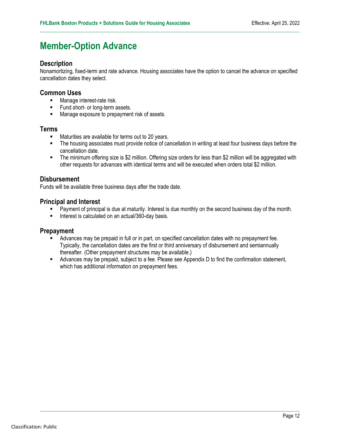### <span id="page-11-0"></span>**Member-Option Advance**

#### **Description**

Nonamortizing, fixed-term and rate advance. Housing associates have the option to cancel the advance on specified cancellation dates they select.

#### **Common Uses**

- **Manage interest-rate risk.**
- **Fund short- or long-term assets.**
- **Manage exposure to prepayment risk of assets.**

#### **Terms**

- **Maturities are available for terms out to 20 years.**
- The housing associates must provide notice of cancellation in writing at least four business days before the cancellation date.
- The minimum offering size is \$2 million. Offering size orders for less than \$2 million will be aggregated with other requests for advances with identical terms and will be executed when orders total \$2 million.

#### **Disbursement**

Funds will be available three business days after the trade date.

#### **Principal and Interest**

- Payment of principal is due at maturity. Interest is due monthly on the second business day of the month.
- Interest is calculated on an actual/360-day basis.

#### **Prepayment**

- Advances may be prepaid in full or in part, on specified cancellation dates with no prepayment fee. Typically, the cancellation dates are the first or third anniversary of disbursement and semiannually thereafter. (Other prepayment structures may be available.)
- Advances may be prepaid, subject to a fee. Please see Appendix D to find the confirmation statement, which has additional information on prepayment fees.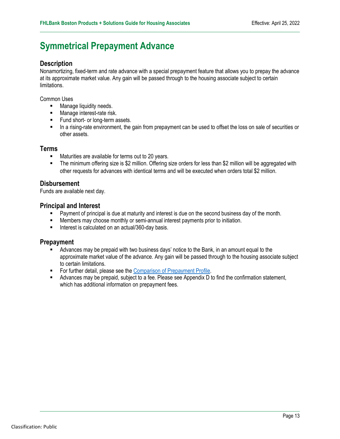### <span id="page-12-0"></span>**Symmetrical Prepayment Advance**

#### **Description**

Nonamortizing, fixed-term and rate advance with a special prepayment feature that allows you to prepay the advance at its approximate market value. Any gain will be passed through to the housing associate subject to certain limitations.

Common Uses

- **Manage liquidity needs.**
- **Manage interest-rate risk.**
- Fund short- or long-term assets.
- In a rising-rate environment, the gain from prepayment can be used to offset the loss on sale of securities or other assets.

#### **Terms**

- Maturities are available for terms out to 20 years.
- The minimum offering size is \$2 million. Offering size orders for less than \$2 million will be aggregated with other requests for advances with identical terms and will be executed when orders total \$2 million.

#### **Disbursement**

Funds are available next day.

#### **Principal and Interest**

- **Payment of principal is due at maturity and interest is due on the second business day of the month.**
- Members may choose monthly or semi-annual interest payments prior to initiation.
- Interest is calculated on an actual/360-day basis.

#### **Prepayment**

- Advances may be prepaid with two business days' notice to the Bank, in an amount equal to the approximate market value of the advance. Any gain will be passed through to the housing associate subject to certain limitations.
- **For further detail, please see the [Comparison of Prepayment Profile.](http://web-prd.fhlbboston.com/api/contentservices/api/contentstream/fhlbank-boston/spa_prepay%20chart%20for%20psg.pdf)**
- Advances may be prepaid, subject to a fee. Please see Appendix D to find the confirmation statement, which has additional information on prepayment fees.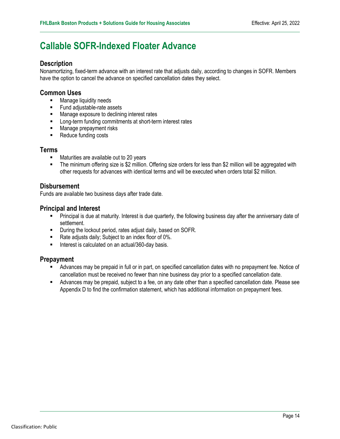### <span id="page-13-0"></span>**Callable SOFR-Indexed Floater Advance**

#### **Description**

Nonamortizing, fixed-term advance with an interest rate that adjusts daily, according to changes in SOFR. Members have the option to cancel the advance on specified cancellation dates they select.

#### **Common Uses**

- **Manage liquidity needs**
- **Fund adjustable-rate assets**
- **Manage exposure to declining interest rates**
- **EXECUTE:** Long-term funding commitments at short-term interest rates
- **Manage prepayment risks**
- Reduce funding costs

#### **Terms**

- Maturities are available out to 20 years
- The minimum offering size is \$2 million. Offering size orders for less than \$2 million will be aggregated with other requests for advances with identical terms and will be executed when orders total \$2 million.

#### **Disbursement**

Funds are available two business days after trade date.

#### **Principal and Interest**

- **Principal is due at maturity. Interest is due quarterly, the following business day after the anniversary date of** settlement.
- **During the lockout period, rates adjust daily, based on SOFR.**
- Rate adjusts daily; Subject to an index floor of 0%.
- **Interest is calculated on an actual/360-day basis.**

#### **Prepayment**

- Advances may be prepaid in full or in part, on specified cancellation dates with no prepayment fee. Notice of cancellation must be received no fewer than nine business day prior to a specified cancellation date.
- Advances may be prepaid, subject to a fee, on any date other than a specified cancellation date. Please see Appendix D to find the confirmation statement, which has additional information on prepayment fees.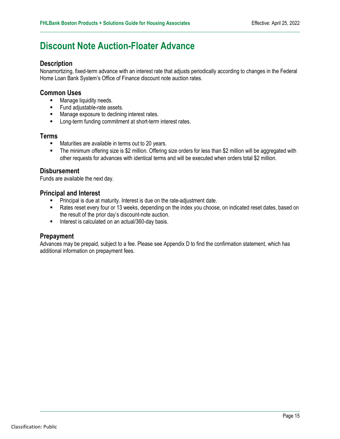### <span id="page-14-0"></span>**Discount Note Auction-Floater Advance**

#### **Description**

Nonamortizing, fixed-term advance with an interest rate that adjusts periodically according to changes in the Federal Home Loan Bank System's Office of Finance discount note auction rates.

#### **Common Uses**

- **Manage liquidity needs.**
- Fund adjustable-rate assets.
- **Manage exposure to declining interest rates.**
- **EXECT** Long-term funding commitment at short-term interest rates.

#### **Terms**

- **Maturities are available in terms out to 20 years.**
- The minimum offering size is \$2 million. Offering size orders for less than \$2 million will be aggregated with other requests for advances with identical terms and will be executed when orders total \$2 million.

#### **Disbursement**

Funds are available the next day.

#### **Principal and Interest**

- **Principal is due at maturity. Interest is due on the rate-adjustment date.**
- Rates reset every four or 13 weeks, depending on the index you choose, on indicated reset dates, based on the result of the prior day's discount-note auction.
- Interest is calculated on an actual/360-day basis.

#### **Prepayment**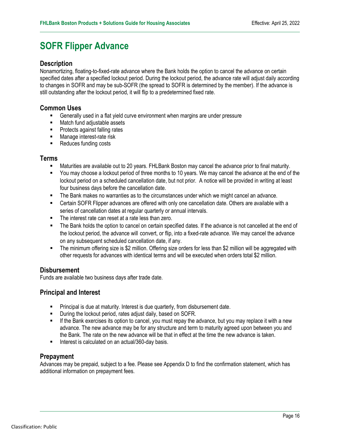### <span id="page-15-0"></span>**SOFR Flipper Advance**

#### **Description**

Nonamortizing, floating-to-fixed-rate advance where the Bank holds the option to cancel the advance on certain specified dates after a specified lockout period. During the lockout period, the advance rate will adjust daily according to changes in SOFR and may be sub-SOFR (the spread to SOFR is determined by the member). If the advance is still outstanding after the lockout period, it will flip to a predetermined fixed rate.

#### **Common Uses**

- Generally used in a flat yield curve environment when margins are under pressure
- Match fund adjustable assets
- **Protects against falling rates**
- **Manage interest-rate risk**
- Reduces funding costs

#### **Terms**

- Maturities are available out to 20 years. FHLBank Boston may cancel the advance prior to final maturity.
- You may choose a lockout period of three months to 10 years. We may cancel the advance at the end of the lockout period on a scheduled cancellation date, but not prior. A notice will be provided in writing at least four business days before the cancellation date.
- The Bank makes no warranties as to the circumstances under which we might cancel an advance.
- Certain SOFR Flipper advances are offered with only one cancellation date. Others are available with a series of cancellation dates at regular quarterly or annual intervals.
- The interest rate can reset at a rate less than zero.
- The Bank holds the option to cancel on certain specified dates. If the advance is not cancelled at the end of the lockout period, the advance will convert, or flip, into a fixed-rate advance. We may cancel the advance on any subsequent scheduled cancellation date, if any.
- The minimum offering size is \$2 million. Offering size orders for less than \$2 million will be aggregated with other requests for advances with identical terms and will be executed when orders total \$2 million.

#### **Disbursement**

Funds are available two business days after trade date.

#### **Principal and Interest**

- **Principal is due at maturity. Interest is due quarterly, from disbursement date.**
- **During the lockout period, rates adjust daily, based on SOFR.**
- If the Bank exercises its option to cancel, you must repay the advance, but you may replace it with a new advance. The new advance may be for any structure and term to maturity agreed upon between you and the Bank. The rate on the new advance will be that in effect at the time the new advance is taken.
- Interest is calculated on an actual/360-day basis.

#### **Prepayment**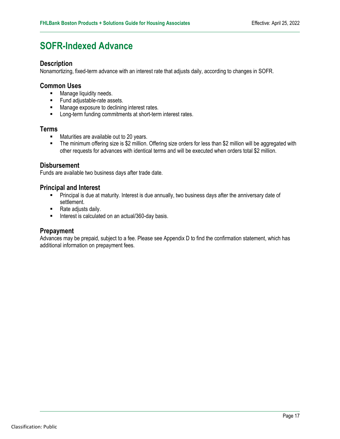### <span id="page-16-0"></span>**SOFR-Indexed Advance**

#### **Description**

Nonamortizing, fixed-term advance with an interest rate that adjusts daily, according to changes in SOFR.

#### **Common Uses**

- **Manage liquidity needs.**
- **Fund adjustable-rate assets.**
- **Manage exposure to declining interest rates.**
- **EXECT** Long-term funding commitments at short-term interest rates.

#### **Terms**

- **Maturities are available out to 20 years.**
- The minimum offering size is \$2 million. Offering size orders for less than \$2 million will be aggregated with other requests for advances with identical terms and will be executed when orders total \$2 million.

#### **Disbursement**

Funds are available two business days after trade date.

#### **Principal and Interest**

- **Principal is due at maturity. Interest is due annually, two business days after the anniversary date of ending** settlement.
- Rate adjusts daily.
- Interest is calculated on an actual/360-day basis.

#### **Prepayment**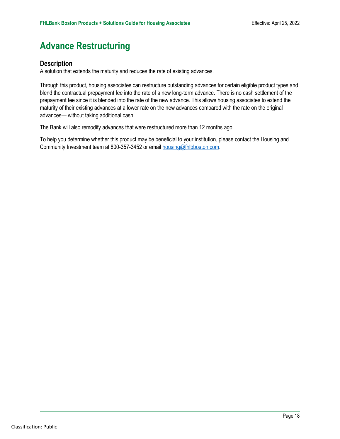### <span id="page-17-0"></span>**Advance Restructuring**

#### **Description**

A solution that extends the maturity and reduces the rate of existing advances.

Through this product, housing associates can restructure outstanding advances for certain eligible product types and blend the contractual prepayment fee into the rate of a new long-term advance. There is no cash settlement of the prepayment fee since it is blended into the rate of the new advance. This allows housing associates to extend the maturity of their existing advances at a lower rate on the new advances compared with the rate on the original advances— without taking additional cash.

The Bank will also remodify advances that were restructured more than 12 months ago.

To help you determine whether this product may be beneficial to your institution, please contact the Housing and Community Investment team at 800-357-3452 or email [housing@fhlbboston.com.](mailto:housing@fhlbboston.com)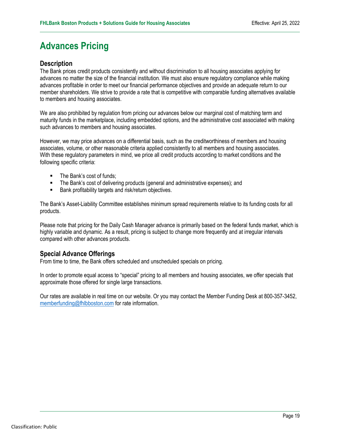### <span id="page-18-0"></span>**Advances Pricing**

#### **Description**

The Bank prices credit products consistently and without discrimination to all housing associates applying for advances no matter the size of the financial institution. We must also ensure regulatory compliance while making advances profitable in order to meet our financial performance objectives and provide an adequate return to our member shareholders. We strive to provide a rate that is competitive with comparable funding alternatives available to members and housing associates.

We are also prohibited by regulation from pricing our advances below our marginal cost of matching term and maturity funds in the marketplace, including embedded options, and the administrative cost associated with making such advances to members and housing associates.

However, we may price advances on a differential basis, such as the creditworthiness of members and housing associates, volume, or other reasonable criteria applied consistently to all members and housing associates. With these regulatory parameters in mind, we price all credit products according to market conditions and the following specific criteria:

- The Bank's cost of funds;
- The Bank's cost of delivering products (general and administrative expenses); and
- **Bank profitability targets and risk/return objectives.**

The Bank's Asset-Liability Committee establishes minimum spread requirements relative to its funding costs for all products.

Please note that pricing for the Daily Cash Manager advance is primarily based on the federal funds market, which is highly variable and dynamic. As a result, pricing is subject to change more frequently and at irregular intervals compared with other advances products.

#### **Special Advance Offerings**

From time to time, the Bank offers scheduled and unscheduled specials on pricing.

In order to promote equal access to "special" pricing to all members and housing associates, we offer specials that approximate those offered for single large transactions.

Our rates are available in real time on our website. Or you may contact the Member Funding Desk at 800-357-3452, [memberfunding@fhlbboston.com](mailto:memberfunding@fhlbboston.com) for rate information.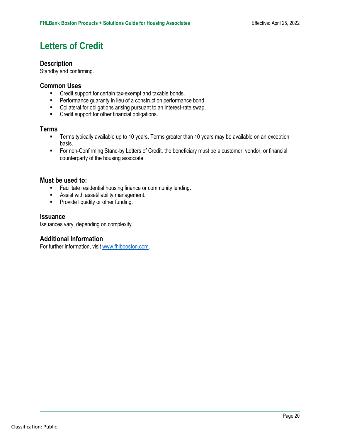### <span id="page-19-0"></span>**Letters of Credit**

#### **Description**

Standby and confirming.

#### **Common Uses**

- **EXECT** Credit support for certain tax-exempt and taxable bonds.
- **Performance guaranty in lieu of a construction performance bond.**
- Collateral for obligations arising pursuant to an interest-rate swap.
- **•** Credit support for other financial obligations.

#### **Terms**

- **Terms typically available up to 10 years. Terms greater than 10 years may be available on an exception** basis.
- For non-Confirming Stand-by Letters of Credit, the beneficiary must be a customer, vendor, or financial counterparty of the housing associate.

#### **Must be used to:**

- **Facilitate residential housing finance or community lending.**
- **Assist with asset/liability management.**
- **Provide liquidity or other funding.**

#### **Issuance**

Issuances vary, depending on complexity.

#### **Additional Information**

For further information, visit [www.fhlbboston.com](http://www.fhlbboston.com).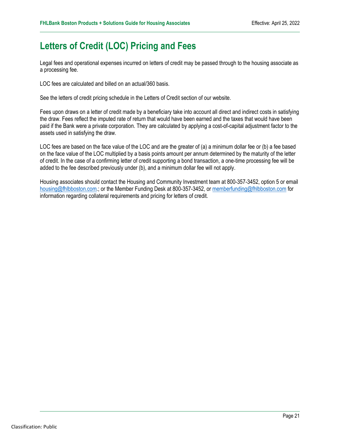### <span id="page-20-0"></span>**Letters of Credit (LOC) Pricing and Fees**

Legal fees and operational expenses incurred on letters of credit may be passed through to the housing associate as a processing fee.

LOC fees are calculated and billed on an actual/360 basis.

See the letters of credit pricing schedule in the Letters of Credit section of our website.

Fees upon draws on a letter of credit made by a beneficiary take into account all direct and indirect costs in satisfying the draw. Fees reflect the imputed rate of return that would have been earned and the taxes that would have been paid if the Bank were a private corporation. They are calculated by applying a cost-of-capital adjustment factor to the assets used in satisfying the draw.

LOC fees are based on the face value of the LOC and are the greater of (a) a minimum dollar fee or (b) a fee based on the face value of the LOC multiplied by a basis points amount per annum determined by the maturity of the letter of credit. In the case of a confirming letter of credit supporting a bond transaction, a one-time processing fee will be added to the fee described previously under (b), and a minimum dollar fee will not apply.

Housing associates should contact the Housing and Community Investment team at 800-357-3452, option 5 or email [housing@fhlbboston.com](mailto:housing@fhlbboston.com).; or the Member Funding Desk at 800-357-3452, o[r memberfunding@fhlbboston.com](mailto:memberfunding@fhlbboston.com) for information regarding collateral requirements and pricing for letters of credit.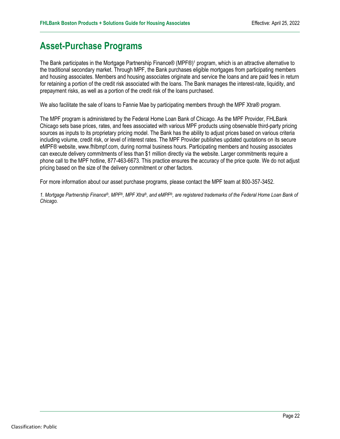### <span id="page-21-0"></span>**Asset-Purchase Programs**

The Bank participates in the Mortgage Partnership Finance® (MPF®)1 program, which is an attractive alternative to the traditional secondary market. Through MPF, the Bank purchases eligible mortgages from participating members and housing associates. Members and housing associates originate and service the loans and are paid fees in return for retaining a portion of the credit risk associated with the loans. The Bank manages the interest-rate, liquidity, and prepayment risks, as well as a portion of the credit risk of the loans purchased.

We also facilitate the sale of loans to Fannie Mae by participating members through the MPF Xtra® program.

The MPF program is administered by the Federal Home Loan Bank of Chicago. As the MPF Provider, FHLBank Chicago sets base prices, rates, and fees associated with various MPF products using observable third-party pricing sources as inputs to its proprietary pricing model. The Bank has the ability to adjust prices based on various criteria including volume, credit risk, or level of interest rates. The MPF Provider publishes updated quotations on its secure eMPF® website, [www.fhlbmpf.com,](http://www.fhlbmpf.com) during normal business hours. Participating members and housing associates can execute delivery commitments of less than \$1 million directly via the website. Larger commitments require a phone call to the MPF hotline, 877-463-6673. This practice ensures the accuracy of the price quote. We do not adjust pricing based on the size of the delivery commitment or other factors.

For more information about our asset purchase programs, please contact the MPF team at 800-357-3452.

*1. Mortgage Partnership Finance®, MPF®, MPF Xtra®, and eMPF®, are registered trademarks of the Federal Home Loan Bank of Chicago.*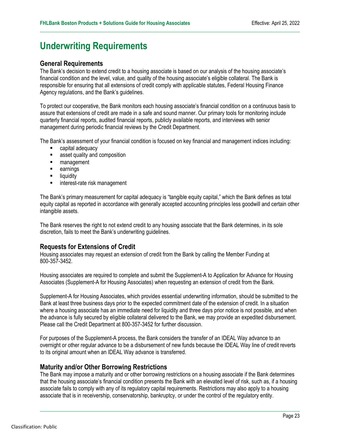### <span id="page-22-0"></span>**Underwriting Requirements**

#### **General Requirements**

The Bank's decision to extend credit to a housing associate is based on our analysis of the housing associate's financial condition and the level, value, and quality of the housing associate's eligible collateral. The Bank is responsible for ensuring that all extensions of credit comply with applicable statutes, Federal Housing Finance Agency regulations, and the Bank's guidelines.

To protect our cooperative, the Bank monitors each housing associate's financial condition on a continuous basis to assure that extensions of credit are made in a safe and sound manner. Our primary tools for monitoring include quarterly financial reports, audited financial reports, publicly available reports, and interviews with senior management during periodic financial reviews by the Credit Department.

The Bank's assessment of your financial condition is focused on key financial and management indices including:

- **E** capital adequacy
- **asset quality and composition**
- **management**
- **earnings**
- **-** liquidity
- **interest-rate risk management**

The Bank's primary measurement for capital adequacy is "tangible equity capital," which the Bank defines as total equity capital as reported in accordance with generally accepted accounting principles less goodwill and certain other intangible assets.

The Bank reserves the right to not extend credit to any housing associate that the Bank determines, in its sole discretion, fails to meet the Bank's underwriting guidelines.

#### **Requests for Extensions of Credit**

Housing associates may request an extension of credit from the Bank by calling the Member Funding at 800-357-3452.

Housing associates are required to complete and submit the Supplement-A to Application for Advance for Housing Associates (Supplement-A for Housing Associates) when requesting an extension of credit from the Bank.

Supplement-A for Housing Associates, which provides essential underwriting information, should be submitted to the Bank at least three business days prior to the expected commitment date of the extension of credit. In a situation where a housing associate has an immediate need for liquidity and three days prior notice is not possible, and when the advance is fully secured by eligible collateral delivered to the Bank, we may provide an expedited disbursement. Please call the Credit Department at 800-357-3452 for further discussion.

For purposes of the Supplement-A process, the Bank considers the transfer of an IDEAL Way advance to an overnight or other regular advance to be a disbursement of new funds because the IDEAL Way line of credit reverts to its original amount when an IDEAL Way advance is transferred.

#### **Maturity and/or Other Borrowing Restrictions**

The Bank may impose a maturity and or other borrowing restrictions on a housing associate if the Bank determines that the housing associate's financial condition presents the Bank with an elevated level of risk, such as, if a housing associate fails to comply with any of its regulatory capital requirements. Restrictions may also apply to a housing associate that is in receivership, conservatorship, bankruptcy, or under the control of the regulatory entity.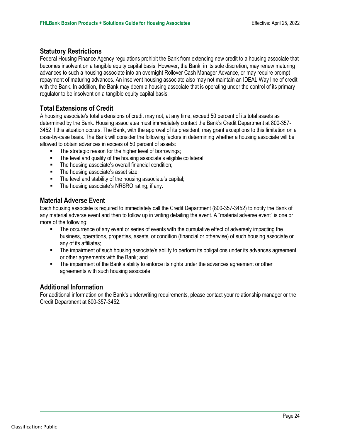#### **Statutory Restrictions**

Federal Housing Finance Agency regulations prohibit the Bank from extending new credit to a housing associate that becomes insolvent on a tangible equity capital basis. However, the Bank, in its sole discretion, may renew maturing advances to such a housing associate into an overnight Rollover Cash Manager Advance, or may require prompt repayment of maturing advances. An insolvent housing associate also may not maintain an IDEAL Way line of credit with the Bank. In addition, the Bank may deem a housing associate that is operating under the control of its primary regulator to be insolvent on a tangible equity capital basis.

#### **Total Extensions of Credit**

A housing associate's total extensions of credit may not, at any time, exceed 50 percent of its total assets as determined by the Bank. Housing associates must immediately contact the Bank's Credit Department at 800-357- 3452 if this situation occurs. The Bank, with the approval of its president, may grant exceptions to this limitation on a case-by-case basis. The Bank will consider the following factors in determining whether a housing associate will be allowed to obtain advances in excess of 50 percent of assets:

- The strategic reason for the higher level of borrowings;
- The level and quality of the housing associate's eligible collateral;
- The housing associate's overall financial condition;
- The housing associate's asset size;
- **F** The level and stability of the housing associate's capital;
- **The housing associate's NRSRO rating, if any.**

#### **Material Adverse Event**

Each housing associate is required to immediately call the Credit Department (800-357-3452) to notify the Bank of any material adverse event and then to follow up in writing detailing the event. A "material adverse event" is one or more of the following:

- The occurrence of any event or series of events with the cumulative effect of adversely impacting the business, operations, properties, assets, or condition (financial or otherwise) of such housing associate or any of its affiliates;
- The impairment of such housing associate's ability to perform its obligations under its advances agreement or other agreements with the Bank; and
- **The impairment of the Bank's ability to enforce its rights under the advances agreement or other** agreements with such housing associate.

#### **Additional Information**

For additional information on the Bank's underwriting requirements, please contact your relationship manager or the Credit Department at 800-357-3452.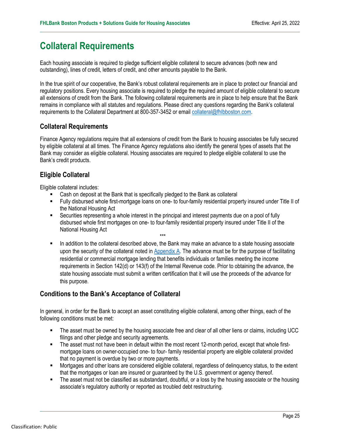### <span id="page-24-0"></span>**Collateral Requirements**

Each housing associate is required to pledge sufficient eligible collateral to secure advances (both new and outstanding), lines of credit, letters of credit, and other amounts payable to the Bank.

In the true spirit of our cooperative, the Bank's robust collateral requirements are in place to protect our financial and regulatory positions. Every housing associate is required to pledge the required amount of eligible collateral to secure all extensions of credit from the Bank. The following collateral requirements are in place to help ensure that the Bank remains in compliance with all statutes and regulations. Please direct any questions regarding the Bank's collateral requirements to the Collateral Department at 800-357-3452 or email [collateral@fhlbboston.com](mailto:collateral@fhlbboston.com).

#### **Collateral Requirements**

Finance Agency regulations require that all extensions of credit from the Bank to housing associates be fully secured by eligible collateral at all times. The Finance Agency regulations also identify the general types of assets that the Bank may consider as eligible collateral. Housing associates are required to pledge eligible collateral to use the Bank's credit products.

#### **Eligible Collateral**

Eligible collateral includes:

- Cash on deposit at the Bank that is specifically pledged to the Bank as collateral
- Fully disbursed whole first-mortgage loans on one- to four-family residential property insured under Title II of the National Housing Act
- Securities representing a whole interest in the principal and interest payments due on a pool of fully disbursed whole first mortgages on one- to four-family residential property insured under Title II of the National Housing Act
- \*\*\* In addition to the collateral described above, the Bank may make an advance to a state housing associate upon the security of the collateral noted i[n Appendix A.](#page-28-0) The advance must be for the purpose of facilitating residential or commercial mortgage lending that benefits individuals or families meeting the income requirements in Section 142(d) or 143(f) of the Internal Revenue code. Prior to obtaining the advance, the state housing associate must submit a written certification that it will use the proceeds of the advance for this purpose.

#### **Conditions to the Bank's Acceptance of Collateral**

In general, in order for the Bank to accept an asset constituting eligible collateral, among other things, each of the following conditions must be met:

- The asset must be owned by the housing associate free and clear of all other liens or claims, including UCC filings and other pledge and security agreements.
- The asset must not have been in default within the most recent 12-month period, except that whole firstmortgage loans on owner-occupied one- to four- family residential property are eligible collateral provided that no payment is overdue by two or more payments.
- Mortgages and other loans are considered eligible collateral, regardless of delinquency status, to the extent that the mortgages or loan are insured or guaranteed by the U.S. government or agency thereof.
- The asset must not be classified as substandard, doubtful, or a loss by the housing associate or the housing associate's regulatory authority or reported as troubled debt restructuring.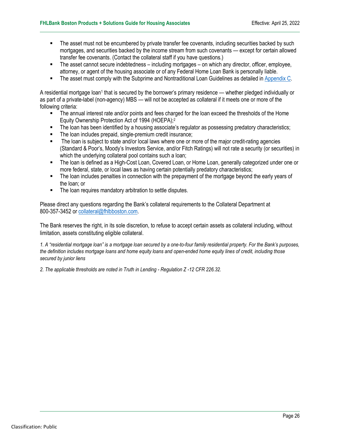- The asset must not be encumbered by private transfer fee covenants, including securities backed by such mortgages, and securities backed by the income stream from such covenants — except for certain allowed transfer fee covenants. (Contact the collateral staff if you have questions.)
- The asset cannot secure indebtedness including mortgages on which any director, officer, employee, attorney, or agent of the housing associate or of any Federal Home Loan Bank is personally liable.
- The asset must comply with the Subprime and Nontraditional Loan Guidelines as detailed in [Appendix C.](#page-40-0)

A residential mortgage loan<sup>1</sup> that is secured by the borrower's primary residence — whether pledged individually or as part of a private-label (non-agency) MBS — will not be accepted as collateral if it meets one or more of the following criteria:

- The annual interest rate and/or points and fees charged for the loan exceed the thresholds of the Home Equity Ownership Protection Act of 1994 (HOEPA);2
- The loan has been identified by a housing associate's regulator as possessing predatory characteristics;
- The loan includes prepaid, single-premium credit insurance;
- The loan is subject to state and/or local laws where one or more of the major credit-rating agencies (Standard & Poor's, Moody's Investors Service, and/or Fitch Ratings) will not rate a security (or securities) in which the underlying collateral pool contains such a loan;
- The loan is defined as a High-Cost Loan, Covered Loan, or Home Loan, generally categorized under one or more federal, state, or local laws as having certain potentially predatory characteristics;
- The loan includes penalties in connection with the prepayment of the mortgage beyond the early years of the loan; or
- **The loan requires mandatory arbitration to settle disputes.**

Please direct any questions regarding the Bank's collateral requirements to the Collateral Department at 800-357-3452 or [collateral@fhlbboston.com.](mailto:collateral@fhlbboston.com)

The Bank reserves the right, in its sole discretion, to refuse to accept certain assets as collateral including, without limitation, assets constituting eligible collateral.

*1. A "residential mortgage loan" is a mortgage loan secured by a one-to-four family residential property. For the Bank's purposes, the definition includes mortgage loans and home equity loans and open-ended home equity lines of credit, including those secured by junior liens* 

*2. The applicable thresholds are noted in Truth in Lending - Regulation Z -12 CFR 226.32.*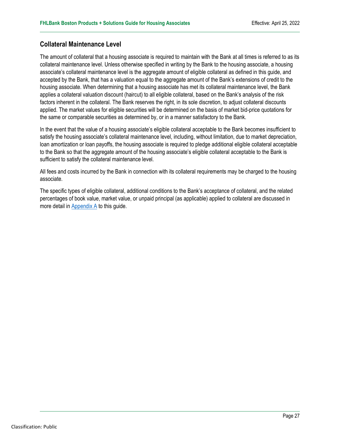#### **Collateral Maintenance Level**

The amount of collateral that a housing associate is required to maintain with the Bank at all times is referred to as its collateral maintenance level. Unless otherwise specified in writing by the Bank to the housing associate, a housing associate's collateral maintenance level is the aggregate amount of eligible collateral as defined in this guide, and accepted by the Bank, that has a valuation equal to the aggregate amount of the Bank's extensions of credit to the housing associate. When determining that a housing associate has met its collateral maintenance level, the Bank applies a collateral valuation discount (haircut) to all eligible collateral, based on the Bank's analysis of the risk factors inherent in the collateral. The Bank reserves the right, in its sole discretion, to adjust collateral discounts applied. The market values for eligible securities will be determined on the basis of market bid-price quotations for the same or comparable securities as determined by, or in a manner satisfactory to the Bank.

In the event that the value of a housing associate's eligible collateral acceptable to the Bank becomes insufficient to satisfy the housing associate's collateral maintenance level, including, without limitation, due to market depreciation, loan amortization or loan payoffs, the housing associate is required to pledge additional eligible collateral acceptable to the Bank so that the aggregate amount of the housing associate's eligible collateral acceptable to the Bank is sufficient to satisfy the collateral maintenance level.

All fees and costs incurred by the Bank in connection with its collateral requirements may be charged to the housing associate.

The specific types of eligible collateral, additional conditions to the Bank's acceptance of collateral, and the related percentages of book value, market value, or unpaid principal (as applicable) applied to collateral are discussed in more detail i[n Appendix A](#page-28-0) to this guide.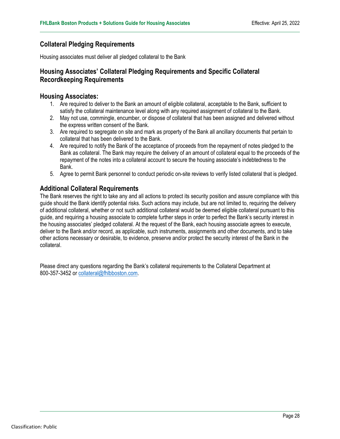#### **Collateral Pledging Requirements**

Housing associates must deliver all pledged collateral to the Bank

#### **Housing Associates' Collateral Pledging Requirements and Specific Collateral Recordkeeping Requirements**

#### **Housing Associates:**

- 1. Are required to deliver to the Bank an amount of eligible collateral, acceptable to the Bank, sufficient to satisfy the collateral maintenance level along with any required assignment of collateral to the Bank.
- 2. May not use, commingle, encumber, or dispose of collateral that has been assigned and delivered without the express written consent of the Bank.
- 3. Are required to segregate on site and mark as property of the Bank all ancillary documents that pertain to collateral that has been delivered to the Bank.
- 4. Are required to notify the Bank of the acceptance of proceeds from the repayment of notes pledged to the Bank as collateral. The Bank may require the delivery of an amount of collateral equal to the proceeds of the repayment of the notes into a collateral account to secure the housing associate's indebtedness to the Bank.
- 5. Agree to permit Bank personnel to conduct periodic on-site reviews to verify listed collateral that is pledged.

#### **Additional Collateral Requirements**

The Bank reserves the right to take any and all actions to protect its security position and assure compliance with this guide should the Bank identify potential risks. Such actions may include, but are not limited to, requiring the delivery of additional collateral, whether or not such additional collateral would be deemed eligible collateral pursuant to this guide, and requiring a housing associate to complete further steps in order to perfect the Bank's security interest in the housing associates' pledged collateral. At the request of the Bank, each housing associate agrees to execute, deliver to the Bank and/or record, as applicable, such instruments, assignments and other documents, and to take other actions necessary or desirable, to evidence, preserve and/or protect the security interest of the Bank in the collateral.

Please direct any questions regarding the Bank's collateral requirements to the Collateral Department at 800-357-3452 or [collateral@fhlbboston.com.](mailto:collateral@fhlbboston.com)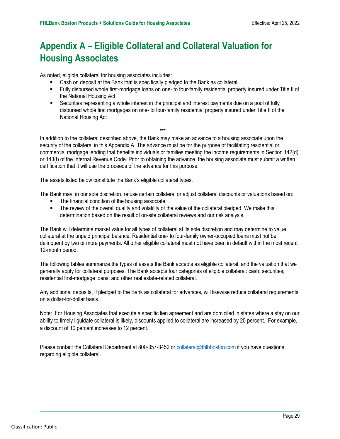### <span id="page-28-0"></span>**Appendix A – Eligible Collateral and Collateral Valuation for Housing Associates**

As noted, eligible collateral for housing associates includes:

- Cash on deposit at the Bank that is specifically pledged to the Bank as collateral
- Fully disbursed whole first-mortgage loans on one- to four-family residential property insured under Title II of the National Housing Act
- Securities representing a whole interest in the principal and interest payments due on a pool of fully disbursed whole first mortgages on one- to four-family residential property insured under Title II of the National Housing Act

\*\*\* In addition to the collateral described above, the Bank may make an advance to a housing associate upon the security of the collateral in this Appendix A. The advance must be for the purpose of facilitating residential or commercial mortgage lending that benefits individuals or families meeting the income requirements in Section 142(d) or 143(f) of the Internal Revenue Code. Prior to obtaining the advance, the housing associate must submit a written certification that it will use the proceeds of the advance for this purpose.

The assets listed below constitute the Bank's eligible collateral types.

The Bank may, in our sole discretion, refuse certain collateral or adjust collateral discounts or valuations based on:

- The financial condition of the housing associate
- The review of the overall quality and volatility of the value of the collateral pledged. We make this determination based on the result of on-site collateral reviews and our risk analysis.

The Bank will determine market value for all types of collateral at its sole discretion and may determine to value collateral at the unpaid principal balance. Residential one- to four-family owner-occupied loans must not be delinquent by two or more payments. All other eligible collateral must not have been in default within the most recent 12-month period.

The following tables summarize the types of assets the Bank accepts as eligible collateral, and the valuation that we generally apply for collateral purposes. The Bank accepts four categories of eligible collateral: cash; securities; residential first-mortgage loans; and other real estate-related collateral.

Any additional deposits, if pledged to the Bank as collateral for advances, will likewise reduce collateral requirements on a dollar-for-dollar basis.

Note: For Housing Associates that execute a specific lien agreement and are domiciled in states where a stay on our ability to timely liquidate collateral is likely, discounts applied to collateral are increased by 20 percent. For example, a discount of 10 percent increases to 12 percent.

Please contact the Collateral Department at 800-357-3452 or [collateral@fhlbboston.com](mailto:collateral@fhlbboston.com) if you have questions regarding eligible collateral.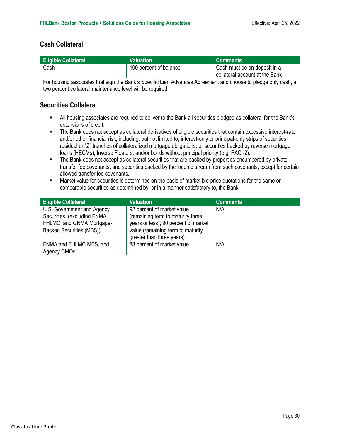#### **Cash Collateral**

| <b>Eligible Collateral</b>                                                                                     | <b>Valuation</b>       | <b>Comments</b>                |  |  |
|----------------------------------------------------------------------------------------------------------------|------------------------|--------------------------------|--|--|
| Cash                                                                                                           | 100 percent of balance | Cash must be on deposit in a   |  |  |
|                                                                                                                |                        | collateral account at the Bank |  |  |
| For housing associates that sign the Bank's Specific Lien Advances Agreement and choose to pledge only cash, a |                        |                                |  |  |
| two percent collateral maintenance level will be required.                                                     |                        |                                |  |  |

#### **Securities Collateral**

- All housing associates are required to deliver to the Bank all securities pledged as collateral for the Bank's extensions of credit.
- The Bank does not accept as collateral derivatives of eligible securities that contain excessive interest-rate and/or other financial risk, including, but not limited to, interest-only or principal-only strips of securities, residual or "Z" tranches of collateralized mortgage obligations, or securities backed by reverse mortgage loans (HECMs), Inverse Floaters, and/or bonds without principal priority (e.g. PAC -2).
- The Bank does not accept as collateral securities that are backed by properties encumbered by private transfer fee covenants, and securities backed by the income stream from such covenants, except for certain allowed transfer fee covenants.
- Market value for securities is determined on the basis of market bid-price quotations for the same or comparable securities as determined by, or in a manner satisfactory to, the Bank.

| <b>Eligible Collateral</b>                                                                                           | <b>Valuation</b>                                                                                                                                                          | <b>Comments</b> |
|----------------------------------------------------------------------------------------------------------------------|---------------------------------------------------------------------------------------------------------------------------------------------------------------------------|-----------------|
| U.S. Government and Agency<br>Securities, (excluding FNMA,<br>FHLMC, and GNMA Mortgage-<br>Backed Securities (MBS)). | 92 percent of market value<br>(remaining term to maturity three<br>years or less); 90 percent of market<br>value (remaining term to maturity<br>greater than three years) | N/A             |
| FNMA and FHLMC MBS, and<br>Agency CMOs                                                                               | 88 percent of market value                                                                                                                                                | N/A             |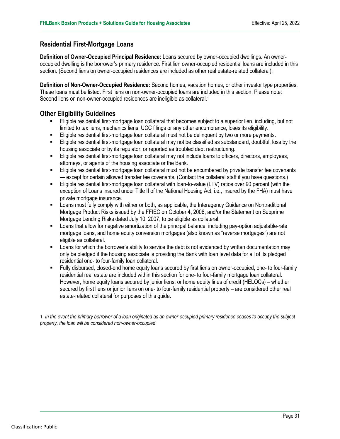#### **Residential First-Mortgage Loans**

**Definition of Owner-Occupied Principal Residence:** Loans secured by owner-occupied dwellings. An owneroccupied dwelling is the borrower's primary residence. First lien owner-occupied residential loans are included in this section. (Second liens on owner-occupied residences are included as other real estate-related collateral).

**Definition of Non-Owner-Occupied Residence:** Second homes, vacation homes, or other investor type properties. These loans must be listed. First liens on non-owner-occupied loans are included in this section. Please note: Second liens on non-owner-occupied residences are ineligible as collateral.<sup>1</sup>

#### **Other Eligibility Guidelines**

- Eligible residential first-mortgage loan collateral that becomes subject to a superior lien, including, but not limited to tax liens, mechanics liens, UCC filings or any other encumbrance, loses its eligibility.
- Eligible residential first-mortgage loan collateral must not be delinquent by two or more payments.
- Eligible residential first-mortgage loan collateral may not be classified as substandard, doubtful, loss by the housing associate or by its regulator, or reported as troubled debt restructuring.
- Eligible residential first-mortgage loan collateral may not include loans to officers, directors, employees, attorneys, or agents of the housing associate or the Bank.
- Eligible residential first-mortgage loan collateral must not be encumbered by private transfer fee covenants — except for certain allowed transfer fee covenants. (Contact the collateral staff if you have questions.)
- Eligible residential first-mortgage loan collateral with loan-to-value (LTV) ratios over 90 percent (with the exception of Loans insured under Title II of the National Housing Act, i.e., insured by the FHA) must have private mortgage insurance.
- Loans must fully comply with either or both, as applicable, the Interagency Guidance on Nontraditional Mortgage Product Risks issued by the FFIEC on October 4, 2006, and/or the Statement on Subprime Mortgage Lending Risks dated July 10, 2007, to be eligible as collateral.
- **EXECT** Loans that allow for negative amortization of the principal balance, including pay-option adjustable-rate mortgage loans, and home equity conversion mortgages (also known as "reverse mortgages") are not eligible as collateral.
- Loans for which the borrower's ability to service the debt is not evidenced by written documentation may only be pledged if the housing associate is providing the Bank with loan level data for all of its pledged residential one- to four-family loan collateral.
- Fully disbursed, closed-end home equity loans secured by first liens on owner-occupied, one- to four-family residential real estate are included within this section for one- to four-family mortgage loan collateral. However, home equity loans secured by junior liens, or home equity lines of credit (HELOCs) – whether secured by first liens or junior liens on one- to four-family residential property – are considered other real estate-related collateral for purposes of this guide.

*1. In the event the primary borrower of a loan originated as an owner-occupied primary residence ceases to occupy the subject property, the loan will be considered non-owner-occupied.*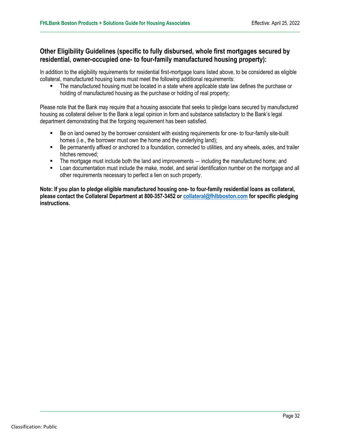#### **Other Eligibility Guidelines (specific to fully disbursed, whole first mortgages secured by residential, owner-occupied one- to four-family manufactured housing property):**

In addition to the eligibility requirements for residential first-mortgage loans listed above, to be considered as eligible collateral, manufactured housing loans must meet the following additional requirements:

 The manufactured housing must be located in a state where applicable state law defines the purchase or holding of manufactured housing as the purchase or holding of real property;

Please note that the Bank may require that a housing associate that seeks to pledge loans secured by manufactured housing as collateral deliver to the Bank a legal opinion in form and substance satisfactory to the Bank's legal department demonstrating that the forgoing requirement has been satisfied.

- Be on land owned by the borrower consistent with existing requirements for one- to four-family site-built homes (i.e., the borrower must own the home and the underlying land);
- Be permanently affixed or anchored to a foundation, connected to utilities, and any wheels, axles, and trailer hitches removed;
- The mortgage must include both the land and improvements ― including the manufactured home; and
- Loan documentation must include the make, model, and serial identification number on the mortgage and all other requirements necessary to perfect a lien on such property.

**Note: If you plan to pledge eligible manufactured housing one- to four-family residential loans as collateral, please contact the Collateral Department at 800-357-3452 or [collateral@fhlbboston.com](mailto:collateral@fhlbboston.com) for specific pledging instructions.**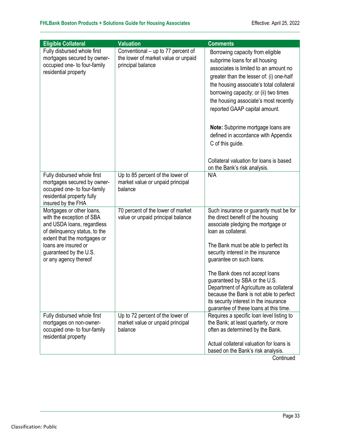| <b>Eligible Collateral</b>                                                                                                                                                                                                       | <b>Valuation</b>                                                                               | <b>Comments</b>                                                                                                                                                                                                                                                                                                                                                                                                                                                                                   |
|----------------------------------------------------------------------------------------------------------------------------------------------------------------------------------------------------------------------------------|------------------------------------------------------------------------------------------------|---------------------------------------------------------------------------------------------------------------------------------------------------------------------------------------------------------------------------------------------------------------------------------------------------------------------------------------------------------------------------------------------------------------------------------------------------------------------------------------------------|
| Fully disbursed whole first<br>mortgages secured by owner-<br>occupied one- to four-family<br>residential property                                                                                                               | Conventional – up to 77 percent of<br>the lower of market value or unpaid<br>principal balance | Borrowing capacity from eligible<br>subprime loans for all housing<br>associates is limited to an amount no<br>greater than the lesser of: (i) one-half<br>the housing associate's total collateral<br>borrowing capacity; or (ii) two times<br>the housing associate's most recently<br>reported GAAP capital amount.<br>Note: Subprime mortgage loans are<br>defined in accordance with Appendix<br>C of this guide.<br>Collateral valuation for loans is based<br>on the Bank's risk analysis. |
| Fully disbursed whole first<br>mortgages secured by owner-<br>occupied one- to four-family<br>residential property fully<br>insured by the FHA                                                                                   | Up to 85 percent of the lower of<br>market value or unpaid principal<br>balance                | N/A                                                                                                                                                                                                                                                                                                                                                                                                                                                                                               |
| Mortgages or other loans,<br>with the exception of SBA<br>and USDA loans, regardless<br>of delinquency status, to the<br>extent that the mortgages or<br>loans are insured or<br>guaranteed by the U.S.<br>or any agency thereof | 70 percent of the lower of market<br>value or unpaid principal balance                         | Such insurance or guaranty must be for<br>the direct benefit of the housing<br>associate pledging the mortgage or<br>loan as collateral.<br>The Bank must be able to perfect its<br>security interest in the insurance<br>guarantee on such loans.<br>The Bank does not accept loans<br>guaranteed by SBA or the U.S.<br>Department of Agriculture as collateral<br>because the Bank is not able to perfect<br>its security interest in the insurance<br>guarantee of these loans at this time.   |
| Fully disbursed whole first<br>mortgages on non-owner-<br>occupied one- to four-family<br>residential property                                                                                                                   | Up to 72 percent of the lower of<br>market value or unpaid principal<br>balance                | Requires a specific loan level listing to<br>the Bank; at least quarterly, or more<br>often as determined by the Bank.<br>Actual collateral valuation for loans is<br>based on the Bank's risk analysis.                                                                                                                                                                                                                                                                                          |

**Continued**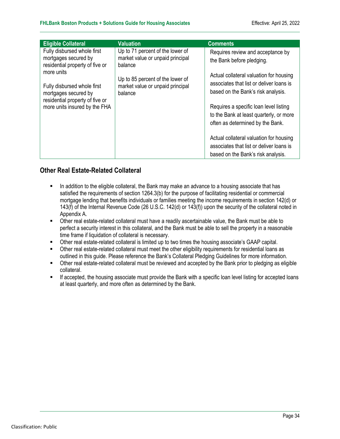| <b>Valuation</b>                                                                                                                                                   | <b>Comments</b>                                                                                                                                                                                                                                                                                                                                                 |
|--------------------------------------------------------------------------------------------------------------------------------------------------------------------|-----------------------------------------------------------------------------------------------------------------------------------------------------------------------------------------------------------------------------------------------------------------------------------------------------------------------------------------------------------------|
| Up to 71 percent of the lower of<br>market value or unpaid principal<br>balance<br>Up to 85 percent of the lower of<br>market value or unpaid principal<br>balance | Requires review and acceptance by<br>the Bank before pledging.<br>Actual collateral valuation for housing<br>associates that list or deliver loans is<br>based on the Bank's risk analysis.<br>Requires a specific loan level listing<br>to the Bank at least quarterly, or more<br>often as determined by the Bank.<br>Actual collateral valuation for housing |
|                                                                                                                                                                    | associates that list or deliver loans is<br>based on the Bank's risk analysis.                                                                                                                                                                                                                                                                                  |
|                                                                                                                                                                    |                                                                                                                                                                                                                                                                                                                                                                 |

#### **Other Real Estate-Related Collateral**

- In addition to the eligible collateral, the Bank may make an advance to a housing associate that has satisfied the requirements of section 1264.3(b) for the purpose of facilitating residential or commercial mortgage lending that benefits individuals or families meeting the income requirements in section 142(d) or 143(f) of the Internal Revenue Code (26 U.S.C. 142(d) or 143(f)) upon the security of the collateral noted in Appendix A.
- Other real estate-related collateral must have a readily ascertainable value, the Bank must be able to perfect a security interest in this collateral, and the Bank must be able to sell the property in a reasonable time frame if liquidation of collateral is necessary.
- Other real estate-related collateral is limited up to two times the housing associate's GAAP capital.
- Other real estate-related collateral must meet the other eligibility requirements for residential loans as outlined in this guide. Please reference the Bank's Collateral Pledging Guidelines for more information.
- Other real estate-related collateral must be reviewed and accepted by the Bank prior to pledging as eligible collateral.
- **If accepted, the housing associate must provide the Bank with a specific loan level listing for accepted loans** at least quarterly, and more often as determined by the Bank.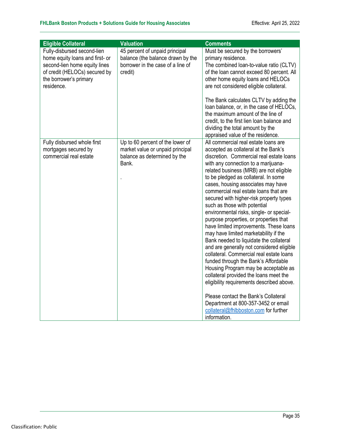| <b>Eligible Collateral</b>                                                                                                                                               | <b>Valuation</b>                                                                                                    | <b>Comments</b>                                                                                                                                                                                                                                                                                                                                                                                                                                                                                                                                                                                                                                                                                                                                                                                                                                                                                                                                                                                                                          |
|--------------------------------------------------------------------------------------------------------------------------------------------------------------------------|---------------------------------------------------------------------------------------------------------------------|------------------------------------------------------------------------------------------------------------------------------------------------------------------------------------------------------------------------------------------------------------------------------------------------------------------------------------------------------------------------------------------------------------------------------------------------------------------------------------------------------------------------------------------------------------------------------------------------------------------------------------------------------------------------------------------------------------------------------------------------------------------------------------------------------------------------------------------------------------------------------------------------------------------------------------------------------------------------------------------------------------------------------------------|
| Fully-disbursed second-lien<br>home equity loans and first- or<br>second-lien home equity lines<br>of credit (HELOCs) secured by<br>the borrower's primary<br>residence. | 45 percent of unpaid principal<br>balance (the balance drawn by the<br>borrower in the case of a line of<br>credit) | Must be secured by the borrowers'<br>primary residence.<br>The combined loan-to-value ratio (CLTV)<br>of the loan cannot exceed 80 percent. All<br>other home equity loans and HELOCs<br>are not considered eligible collateral.<br>The Bank calculates CLTV by adding the<br>loan balance, or, in the case of HELOCs,<br>the maximum amount of the line of<br>credit, to the first lien loan balance and<br>dividing the total amount by the<br>appraised value of the residence.                                                                                                                                                                                                                                                                                                                                                                                                                                                                                                                                                       |
| Fully disbursed whole first<br>mortgages secured by<br>commercial real estate                                                                                            | Up to 60 percent of the lower of<br>market value or unpaid principal<br>balance as determined by the<br>Bank.       | All commercial real estate loans are<br>accepted as collateral at the Bank's<br>discretion. Commercial real estate loans<br>with any connection to a marijuana-<br>related business (MRB) are not eligible<br>to be pledged as collateral. In some<br>cases, housing associates may have<br>commercial real estate loans that are<br>secured with higher-risk property types<br>such as those with potential<br>environmental risks, single- or special-<br>purpose properties, or properties that<br>have limited improvements. These loans<br>may have limited marketability if the<br>Bank needed to liquidate the collateral<br>and are generally not considered eligible<br>collateral. Commercial real estate loans<br>funded through the Bank's Affordable<br>Housing Program may be acceptable as<br>collateral provided the loans meet the<br>eligibility requirements described above.<br>Please contact the Bank's Collateral<br>Department at 800-357-3452 or email<br>collateral@fhlbboston.com for further<br>information. |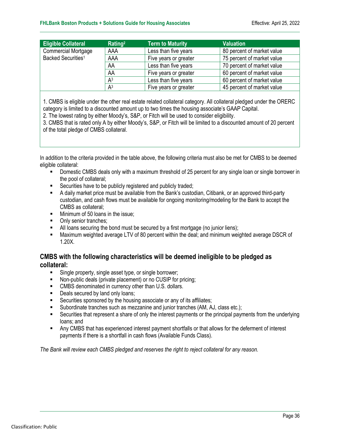| <b>Eligible Collateral</b>     | Rating <sup>2</sup> | <b>Term to Maturity</b> | <b>Valuation</b>           |
|--------------------------------|---------------------|-------------------------|----------------------------|
| <b>Commercial Mortgage</b>     | AAA                 | Less than five years    | 80 percent of market value |
| Backed Securities <sup>1</sup> | AAA                 | Five years or greater   | 75 percent of market value |
|                                | AA                  | Less than five years    | 70 percent of market value |
|                                | AA                  | Five years or greater   | 60 percent of market value |
|                                | A <sup>3</sup>      | Less than five years    | 60 percent of market value |
|                                | A <sup>3</sup>      | Five years or greater   | 45 percent of market value |

1. CMBS is eligible under the other real estate related collateral category. All collateral pledged under the ORERC category is limited to a discounted amount up to two times the housing associate's GAAP Capital.

2. The lowest rating by either Moody's, S&P, or Fitch will be used to consider eligibility.

3. CMBS that is rated only A by either Moody's, S&P, or Fitch will be limited to a discounted amount of 20 percent of the total pledge of CMBS collateral.

In addition to the criteria provided in the table above, the following criteria must also be met for CMBS to be deemed eligible collateral:

- **Domestic CMBS deals only with a maximum threshold of 25 percent for any single loan or single borrower in** the pool of collateral;
- Securities have to be publicly registered and publicly traded;
- A daily market price must be available from the Bank's custodian, Citibank, or an approved third-party custodian, and cash flows must be available for ongoing monitoring/modeling for the Bank to accept the CMBS as collateral;
- **Minimum of 50 loans in the issue;**
- Only senior tranches:
- All loans securing the bond must be secured by a first mortgage (no junior liens);
- Maximum weighted average LTV of 80 percent within the deal; and minimum weighted average DSCR of 1.20X.

#### **CMBS with the following characteristics will be deemed ineligible to be pledged as collateral:**

- Single property, single asset type, or single borrower;
- Non-public deals (private placement) or no CUSIP for pricing;
- **EXECT** CMBS denominated in currency other than U.S. dollars.
- Deals secured by land only loans;
- **EXECUTE:** Securities sponsored by the housing associate or any of its affiliates;
- Subordinate tranches such as mezzanine and junior tranches (AM, AJ, class etc.);
- Securities that represent a share of only the interest payments or the principal payments from the underlying loans; and
- Any CMBS that has experienced interest payment shortfalls or that allows for the deferment of interest payments if there is a shortfall in cash flows (Available Funds Class).

*The Bank will review each CMBS pledged and reserves the right to reject collateral for any reason.*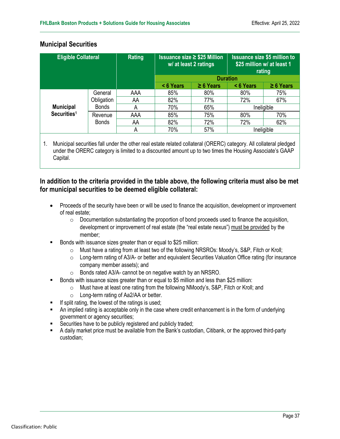#### **Municipal Securities**

| <b>Eligible Collateral</b> |                 | Rating |           | <b>Issuance size ≥ \$25 Million</b><br>w/ at least 2 ratings |          | <b>Issuance size \$5 million to</b><br>\$25 million w/ at least 1<br>rating |
|----------------------------|-----------------|--------|-----------|--------------------------------------------------------------|----------|-----------------------------------------------------------------------------|
|                            | <b>Duration</b> |        |           |                                                              |          |                                                                             |
|                            |                 |        | < 6 Years | $\geq 6$ Years                                               | <6 Years | $\geq 6$ Years                                                              |
|                            | General         | AAA    | 85%       | 80%                                                          | 80%      | 75%                                                                         |
|                            | Obligation      | AA     | 82%       | 77%                                                          | 72%      | 67%                                                                         |
| <b>Municipal</b>           | <b>Bonds</b>    | A      | 70%       | 65%                                                          |          | Ineligible                                                                  |
| Securities <sup>1</sup>    | Revenue         | AAA    | 85%       | 75%                                                          | 80%      | 70%                                                                         |
|                            | <b>Bonds</b>    | AA     | 82%       | 72%                                                          | 72%      | 62%                                                                         |
|                            |                 | А      | 70%       | 57%                                                          |          | Ineligible                                                                  |

1. Municipal securities fall under the other real estate related collateral (ORERC) category. All collateral pledged under the ORERC category is limited to a discounted amount up to two times the Housing Associate's GAAP Capital.

#### **In addition to the criteria provided in the table above, the following criteria must also be met for municipal securities to be deemed eligible collateral:**

- Proceeds of the security have been or will be used to finance the acquisition, development or improvement of real estate;
	- $\circ$  Documentation substantiating the proportion of bond proceeds used to finance the acquisition, development or improvement of real estate (the "real estate nexus") must be provided by the member;
- Bonds with issuance sizes greater than or equal to \$25 million:
	- o Must have a rating from at least two of the following NRSROs: Moody's, S&P, Fitch or Kroll;
	- o Long-term rating of A3/A- or better and equivalent Securities Valuation Office rating (for insurance company member assets); and
	- o Bonds rated A3/A- cannot be on negative watch by an NRSRO.
- Bonds with issuance sizes greater than or equal to \$5 million and less than \$25 million:
	- o Must have at least one rating from the following NMoody's, S&P, Fitch or Kroll; and
	- o Long-term rating of Aa2/AA or better.
- $\blacksquare$  If split rating, the lowest of the ratings is used;
- An implied rating is acceptable only in the case where credit enhancement is in the form of underlying government or agency securities;
- Securities have to be publicly registered and publicly traded;
- A daily market price must be available from the Bank's custodian, Citibank, or the approved third-party custodian;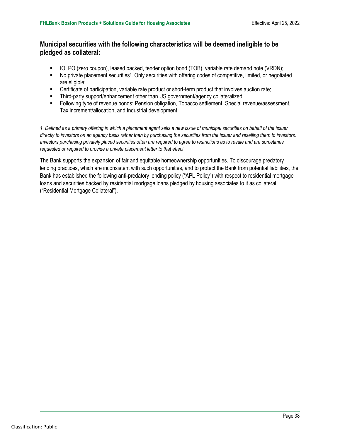#### **Municipal securities with the following characteristics will be deemed ineligible to be pledged as collateral:**

- IO, PO (zero coupon), leased backed, tender option bond (TOB), variable rate demand note (VRDN);
- No private placement securities1. Only securities with offering codes of competitive, limited, or negotiated are eligible;
- Certificate of participation, variable rate product or short-term product that involves auction rate;
- Third-party support/enhancement other than US government/agency collateralized;
- Following type of revenue bonds: Pension obligation, Tobacco settlement, Special revenue/assessment, Tax increment/allocation, and Industrial development.

*1. Defined as a primary offering in which a placement agent sells a new issue of municipal securities on behalf of the issuer directly to investors on an agency basis rather than by purchasing the securities from the issuer and reselling them to investors. Investors purchasing privately placed securities often are required to agree to restrictions as to resale and are sometimes requested or required to provide a private placement letter to that effect.*

The Bank supports the expansion of fair and equitable homeownership opportunities. To discourage predatory lending practices, which are inconsistent with such opportunities, and to protect the Bank from potential liabilities, the Bank has established the following anti-predatory lending policy ("APL Policy") with respect to residential mortgage loans and securities backed by residential mortgage loans pledged by housing associates to it as collateral ("Residential Mortgage Collateral").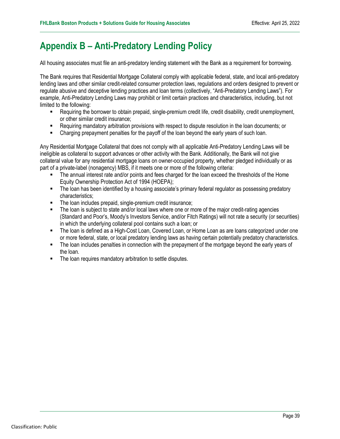### <span id="page-38-0"></span>**Appendix B – Anti-Predatory Lending Policy**

All housing associates must file an anti-predatory lending statement with the Bank as a requirement for borrowing.

The Bank requires that Residential Mortgage Collateral comply with applicable federal, state, and local anti-predatory lending laws and other similar credit-related consumer protection laws, regulations and orders designed to prevent or regulate abusive and deceptive lending practices and loan terms (collectively, "Anti-Predatory Lending Laws"). For example, Anti-Predatory Lending Laws may prohibit or limit certain practices and characteristics, including, but not limited to the following:

- Requiring the borrower to obtain prepaid, single-premium credit life, credit disability, credit unemployment, or other similar credit insurance;
- Requiring mandatory arbitration provisions with respect to dispute resolution in the loan documents; or
- **•** Charging prepayment penalties for the payoff of the loan beyond the early years of such loan.

Any Residential Mortgage Collateral that does not comply with all applicable Anti-Predatory Lending Laws will be ineligible as collateral to support advances or other activity with the Bank. Additionally, the Bank will not give collateral value for any residential mortgage loans on owner-occupied property, whether pledged individually or as part of a private-label (nonagency) MBS, if it meets one or more of the following criteria:

- The annual interest rate and/or points and fees charged for the loan exceed the thresholds of the Home Equity Ownership Protection Act of 1994 (HOEPA);
- The loan has been identified by a housing associate's primary federal regulator as possessing predatory characteristics;
- **The loan includes prepaid, single-premium credit insurance;**
- The loan is subject to state and/or local laws where one or more of the major credit-rating agencies (Standard and Poor's, Moody's Investors Service, and/or Fitch Ratings) will not rate a security (or securities) in which the underlying collateral pool contains such a loan; or
- The loan is defined as a High-Cost Loan, Covered Loan, or Home Loan as are loans categorized under one or more federal, state, or local predatory lending laws as having certain potentially predatory characteristics.
- The loan includes penalties in connection with the prepayment of the mortgage beyond the early years of the loan.
- **The loan requires mandatory arbitration to settle disputes.**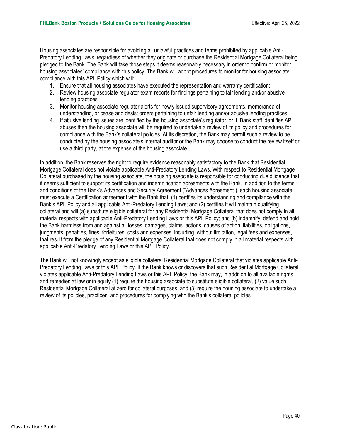Housing associates are responsible for avoiding all unlawful practices and terms prohibited by applicable Anti-Predatory Lending Laws, regardless of whether they originate or purchase the Residential Mortgage Collateral being pledged to the Bank. The Bank will take those steps it deems reasonably necessary in order to confirm or monitor housing associates' compliance with this policy. The Bank will adopt procedures to monitor for housing associate compliance with this APL Policy which will:

- 1. Ensure that all housing associates have executed the representation and warranty certification;
- 2. Review housing associate regulator exam reports for findings pertaining to fair lending and/or abusive lending practices;
- 3. Monitor housing associate regulator alerts for newly issued supervisory agreements, memoranda of understanding, or cease and desist orders pertaining to unfair lending and/or abusive lending practices;
- 4. If abusive lending issues are identified by the housing associate's regulator, or if, Bank staff identifies APL abuses then the housing associate will be required to undertake a review of its policy and procedures for compliance with the Bank's collateral policies. At its discretion, the Bank may permit such a review to be conducted by the housing associate's internal auditor or the Bank may choose to conduct the review itself or use a third party, at the expense of the housing associate.

In addition, the Bank reserves the right to require evidence reasonably satisfactory to the Bank that Residential Mortgage Collateral does not violate applicable Anti-Predatory Lending Laws. With respect to Residential Mortgage Collateral purchased by the housing associate, the housing associate is responsible for conducting due diligence that it deems sufficient to support its certification and indemnification agreements with the Bank. In addition to the terms and conditions of the Bank's Advances and Security Agreement ("Advances Agreement"), each housing associate must execute a Certification agreement with the Bank that: (1) certifies its understanding and compliance with the Bank's APL Policy and all applicable Anti-Predatory Lending Laws; and (2) certifies it will maintain qualifying collateral and will (a) substitute eligible collateral for any Residential Mortgage Collateral that does not comply in all material respects with applicable Anti-Predatory Lending Laws or this APL Policy; and (b) indemnify, defend and hold the Bank harmless from and against all losses, damages, claims, actions, causes of action, liabilities, obligations, judgments, penalties, fines, forfeitures, costs and expenses, including, without limitation, legal fees and expenses, that result from the pledge of any Residential Mortgage Collateral that does not comply in all material respects with applicable Anti-Predatory Lending Laws or this APL Policy.

The Bank will not knowingly accept as eligible collateral Residential Mortgage Collateral that violates applicable Anti-Predatory Lending Laws or this APL Policy. If the Bank knows or discovers that such Residential Mortgage Collateral violates applicable Anti-Predatory Lending Laws or this APL Policy, the Bank may, in addition to all available rights and remedies at law or in equity (1) require the housing associate to substitute eligible collateral, (2) value such Residential Mortgage Collateral at zero for collateral purposes, and (3) require the housing associate to undertake a review of its policies, practices, and procedures for complying with the Bank's collateral policies.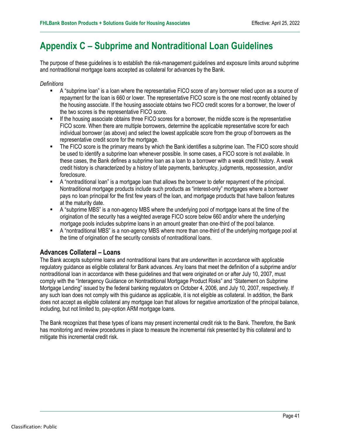### <span id="page-40-0"></span>**Appendix C – Subprime and Nontraditional Loan Guidelines**

The purpose of these guidelines is to establish the risk-management guidelines and exposure limits around subprime and nontraditional mortgage loans accepted as collateral for advances by the Bank.

#### *Definitions*

- A "subprime loan" is a loan where the representative FICO score of any borrower relied upon as a source of repayment for the loan is 660 or lower. The representative FICO score is the one most recently obtained by the housing associate. If the housing associate obtains two FICO credit scores for a borrower, the lower of the two scores is the representative FICO score.
- If the housing associate obtains three FICO scores for a borrower, the middle score is the representative FICO score. When there are multiple borrowers, determine the applicable representative score for each individual borrower (as above) and select the lowest applicable score from the group of borrowers as the representative credit score for the mortgage.
- The FICO score is the primary means by which the Bank identifies a subprime loan. The FICO score should be used to identify a subprime loan whenever possible. In some cases, a FICO score is not available. In these cases, the Bank defines a subprime loan as a loan to a borrower with a weak credit history. A weak credit history is characterized by a history of late payments, bankruptcy, judgments, repossession, and/or foreclosure.
- A "nontraditional loan" is a mortgage loan that allows the borrower to defer repayment of the principal. Nontraditional mortgage products include such products as "interest-only" mortgages where a borrower pays no loan principal for the first few years of the loan, and mortgage products that have balloon features at the maturity date.
- A "subprime MBS" is a non-agency MBS where the underlying pool of mortgage loans at the time of the origination of the security has a weighted average FICO score below 660 and/or where the underlying mortgage pools includes subprime loans in an amount greater than one-third of the pool balance.
- A "nontraditional MBS" is a non-agency MBS where more than one-third of the underlying mortgage pool at the time of origination of the security consists of nontraditional loans.

#### **Advances Collateral – Loans**

The Bank accepts subprime loans and nontraditional loans that are underwritten in accordance with applicable regulatory guidance as eligible collateral for Bank advances. Any loans that meet the definition of a subprime and/or nontraditional loan in accordance with these guidelines and that were originated on or after July 10, 2007, must comply with the "Interagency Guidance on Nontraditional Mortgage Product Risks" and "Statement on Subprime Mortgage Lending" issued by the federal banking regulators on October 4, 2006, and July 10, 2007, respectively. If any such loan does not comply with this guidance as applicable, it is not eligible as collateral. In addition, the Bank does not accept as eligible collateral any mortgage loan that allows for negative amortization of the principal balance, including, but not limited to, pay-option ARM mortgage loans.

The Bank recognizes that these types of loans may present incremental credit risk to the Bank. Therefore, the Bank has monitoring and review procedures in place to measure the incremental risk presented by this collateral and to mitigate this incremental credit risk.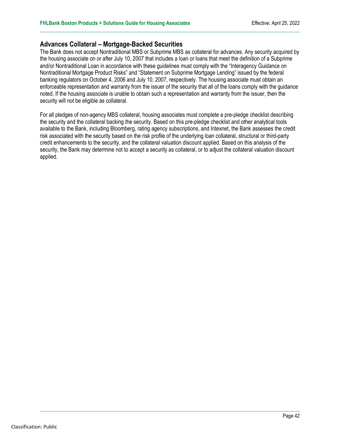#### **Advances Collateral – Mortgage-Backed Securities**

The Bank does not accept Nontraditional MBS or Subprime MBS as collateral for advances. Any security acquired by the housing associate on or after July 10, 2007 that includes a loan or loans that meet the definition of a Subprime and/or Nontraditional Loan in accordance with these guidelines must comply with the "Interagency Guidance on Nontraditional Mortgage Product Risks" and "Statement on Subprime Mortgage Lending" issued by the federal banking regulators on October 4, 2006 and July 10, 2007, respectively. The housing associate must obtain an enforceable representation and warranty from the issuer of the security that all of the loans comply with the guidance noted. If the housing associate is unable to obtain such a representation and warranty from the issuer, then the security will not be eligible as collateral.

For all pledges of non-agency MBS collateral, housing associates must complete a pre-pledge checklist describing the security and the collateral backing the security. Based on this pre-pledge checklist and other analytical tools available to the Bank, including Bloomberg, rating agency subscriptions, and Intexnet, the Bank assesses the credit risk associated with the security based on the risk profile of the underlying loan collateral, structural or third-party credit enhancements to the security, and the collateral valuation discount applied. Based on this analysis of the security, the Bank may determine not to accept a security as collateral, or to adjust the collateral valuation discount applied.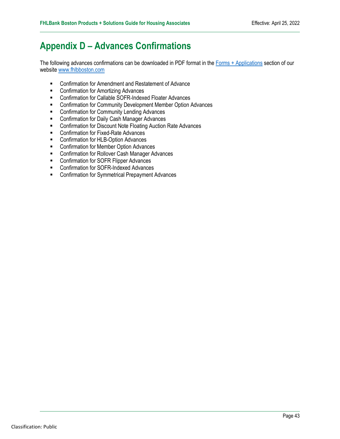### <span id="page-42-0"></span>**Appendix D – Advances Confirmations**

The following advances confirmations can be downloaded in PDF format in the [Forms + Applications](https://www.fhlbboston.com/fhlbank-boston/member-resources/forms-applications#/) section of our website [www.fhlbboston.com](https://www.fhlbboston.com/)

- Confirmation for Amendment and Restatement of Advance
- **EXECONFIRMATION FOR AMORT CONFIRMATION CONTROL**
- Confirmation for Callable SOFR-Indexed Floater Advances
- **EXECONFIRM COMMUNITY Development Member Option Advances**
- **EXECONFIRM** Community Lending Advances
- **EXECONFIRMATION FOR DAILY CASH Manager Advances**
- **EXECONFIRM CONFIRM** Confirmation for Discount Note Floating Auction Rate Advances
- **EXECONFERIGATE:** Confirmation for Fixed-Rate Advances
- **EXECONFIRMATION FOR HUB-Option Advances**
- **EXECONFIRMATION FOR MEMBER Option Advances**
- **EXECONFIRM** Confirmation for Rollover Cash Manager Advances
- **EXECONFIRM** Confirmation for SOFR Flipper Advances
- **EXECONFIRM** Confirmation for SOFR-Indexed Advances
- **EXECONFIRM CONFIRM** Confirmation for Symmetrical Prepayment Advances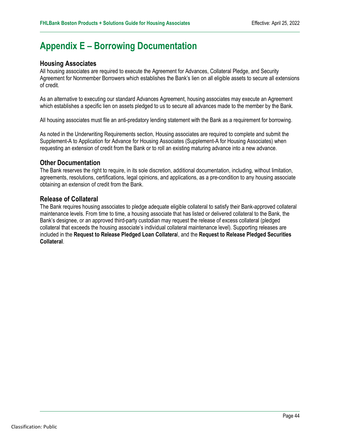### <span id="page-43-0"></span>**Appendix E – Borrowing Documentation**

#### **Housing Associates**

All housing associates are required to execute the Agreement for Advances, Collateral Pledge, and Security Agreement for Nonmember Borrowers which establishes the Bank's lien on all eligible assets to secure all extensions of credit.

As an alternative to executing our standard Advances Agreement, housing associates may execute an Agreement which establishes a specific lien on assets pledged to us to secure all advances made to the member by the Bank.

All housing associates must file an anti-predatory lending statement with the Bank as a requirement for borrowing.

As noted in the Underwriting Requirements section, Housing associates are required to complete and submit the Supplement-A to Application for Advance for Housing Associates (Supplement-A for Housing Associates) when requesting an extension of credit from the Bank or to roll an existing maturing advance into a new advance.

#### **Other Documentation**

The Bank reserves the right to require, in its sole discretion, additional documentation, including, without limitation, agreements, resolutions, certifications, legal opinions, and applications, as a pre-condition to any housing associate obtaining an extension of credit from the Bank.

#### **Release of Collateral**

The Bank requires housing associates to pledge adequate eligible collateral to satisfy their Bank-approved collateral maintenance levels. From time to time, a housing associate that has listed or delivered collateral to the Bank, the Bank's designee, or an approved third-party custodian may request the release of excess collateral (pledged collateral that exceeds the housing associate's individual collateral maintenance level). Supporting releases are included in the **Request to Release Pledged Loan Collatera**l, and the **Request to Release Pledged Securities Collateral**.